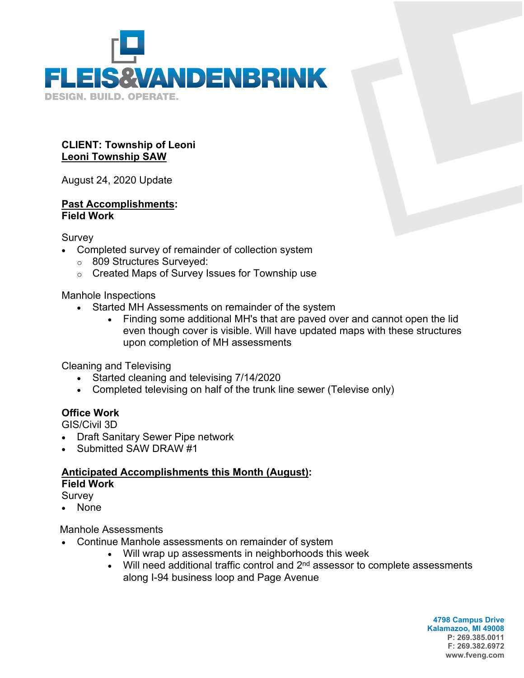

#### **CLIENT: Township of Leoni Leoni Township SAW**

August 24, 2020 Update

#### **Past Accomplishments: Field Work**

Survey

- Completed survey of remainder of collection system
	- o 809 Structures Surveyed:
	- o Created Maps of Survey Issues for Township use

Manhole Inspections

- Started MH Assessments on remainder of the system
	- Finding some additional MH's that are paved over and cannot open the lid even though cover is visible. Will have updated maps with these structures upon completion of MH assessments

Cleaning and Televising

- Started cleaning and televising 7/14/2020
- Completed televising on half of the trunk line sewer (Televise only)

### **Office Work**

GIS/Civil 3D

- Draft Sanitary Sewer Pipe network
- Submitted SAW DRAW #1

### **Anticipated Accomplishments this Month (August): Field Work**

**Survey** 

None

Manhole Assessments

- Continue Manhole assessments on remainder of system
	- Will wrap up assessments in neighborhoods this week
	- $\bullet$  Will need additional traffic control and  $2^{nd}$  assessor to complete assessments along I-94 business loop and Page Avenue

**4798 Campus Drive Kalamazoo, MI 49008 P: 269.385.0011 F: 269.382.6972 www.fveng.com**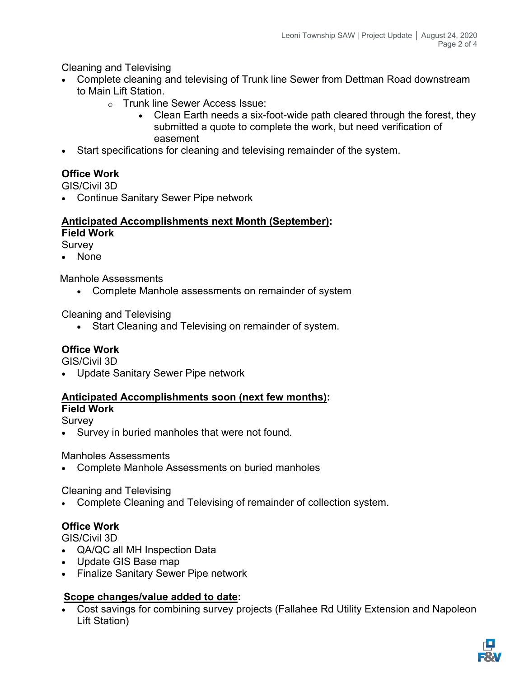Cleaning and Televising

- Complete cleaning and televising of Trunk line Sewer from Dettman Road downstream to Main Lift Station.
	- o Trunk line Sewer Access Issue:
		- Clean Earth needs a six-foot-wide path cleared through the forest, they submitted a quote to complete the work, but need verification of easement
- Start specifications for cleaning and televising remainder of the system.

# **Office Work**

GIS/Civil 3D

Continue Sanitary Sewer Pipe network

# **Anticipated Accomplishments next Month (September):**

**Field Work**

Survey

None

Manhole Assessments

Complete Manhole assessments on remainder of system

Cleaning and Televising

• Start Cleaning and Televising on remainder of system.

# **Office Work**

GIS/Civil 3D

Update Sanitary Sewer Pipe network

#### **Anticipated Accomplishments soon (next few months): Field Work**

Survey

Survey in buried manholes that were not found.

Manholes Assessments

Complete Manhole Assessments on buried manholes

Cleaning and Televising

Complete Cleaning and Televising of remainder of collection system.

### **Office Work**

GIS/Civil 3D

- QA/QC all MH Inspection Data
- Update GIS Base map
- Finalize Sanitary Sewer Pipe network

### **Scope changes/value added to date:**

 Cost savings for combining survey projects (Fallahee Rd Utility Extension and Napoleon Lift Station)

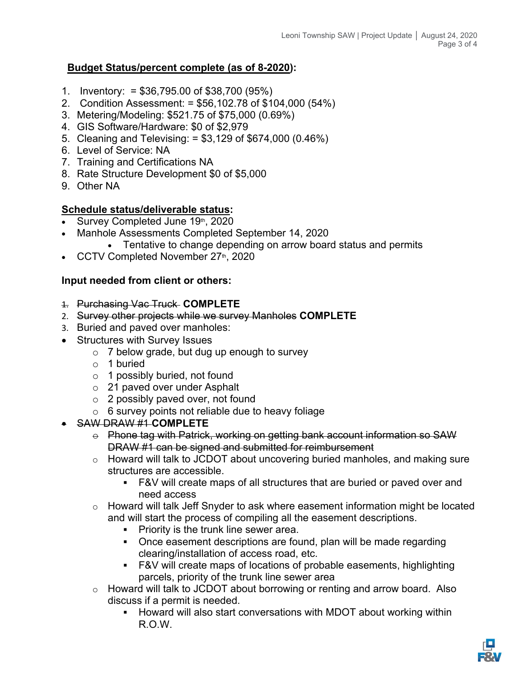### **Budget Status/percent complete (as of 8-2020):**

- 1. Inventory: = \$36,795.00 of \$38,700 (95%)
- 2. Condition Assessment: = \$56,102.78 of \$104,000 (54%)
- 3. Metering/Modeling: \$521.75 of \$75,000 (0.69%)
- 4. GIS Software/Hardware: \$0 of \$2,979
- 5. Cleaning and Televising: = \$3,129 of \$674,000 (0.46%)
- 6. Level of Service: NA
- 7. Training and Certifications NA
- 8. Rate Structure Development \$0 of \$5,000
- 9. Other NA

### **Schedule status/deliverable status:**

- Survey Completed June 19th, 2020
- Manhole Assessments Completed September 14, 2020
	- Tentative to change depending on arrow board status and permits
- CCTV Completed November 27th, 2020

### **Input needed from client or others:**

- 1. Purchasing Vac Truck **COMPLETE**
- 2. Survey other projects while we survey Manholes **COMPLETE**
- 3. Buried and paved over manholes:
- Structures with Survey Issues
	- $\circ$  7 below grade, but dug up enough to survey
	- o 1 buried
	- o 1 possibly buried, not found
	- o 21 paved over under Asphalt
	- o 2 possibly paved over, not found
	- $\circ$  6 survey points not reliable due to heavy foliage

### SAW DRAW #1 **COMPLETE**

- $\theta$  Phone tag with Patrick, working on getting bank account information so SAW DRAW #1 can be signed and submitted for reimbursement
- o Howard will talk to JCDOT about uncovering buried manholes, and making sure structures are accessible.
	- F&V will create maps of all structures that are buried or paved over and need access
- $\circ$  Howard will talk Jeff Snyder to ask where easement information might be located and will start the process of compiling all the easement descriptions.
	- **Priority is the trunk line sewer area.**
	- Once easement descriptions are found, plan will be made regarding clearing/installation of access road, etc.
	- F&V will create maps of locations of probable easements, highlighting parcels, priority of the trunk line sewer area
- o Howard will talk to JCDOT about borrowing or renting and arrow board. Also discuss if a permit is needed.
	- **-** Howard will also start conversations with MDOT about working within R.O.W.